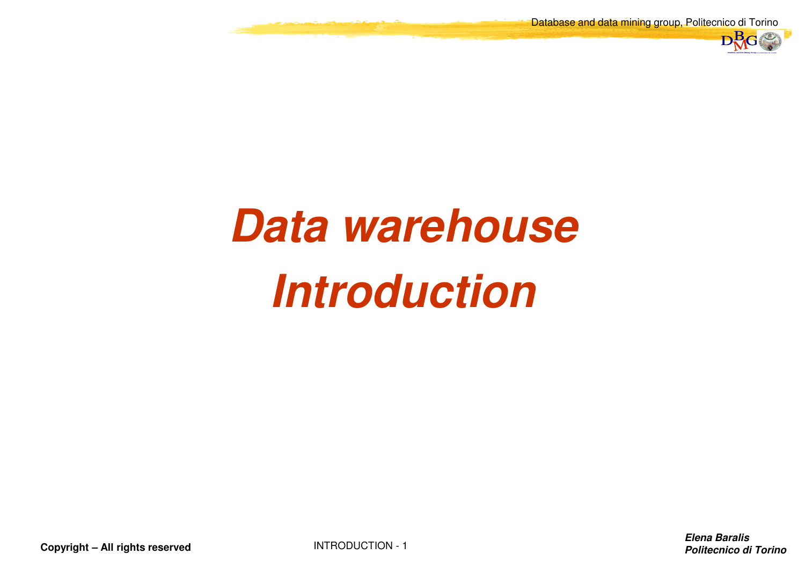Database and data mining group, Politecnico di Torino



# **Data warehouseIntroduction**

**Copyright – All rights reserved**

INTRODUCTION - <sup>1</sup>

**Elena BaralisPolitecnico di Torino**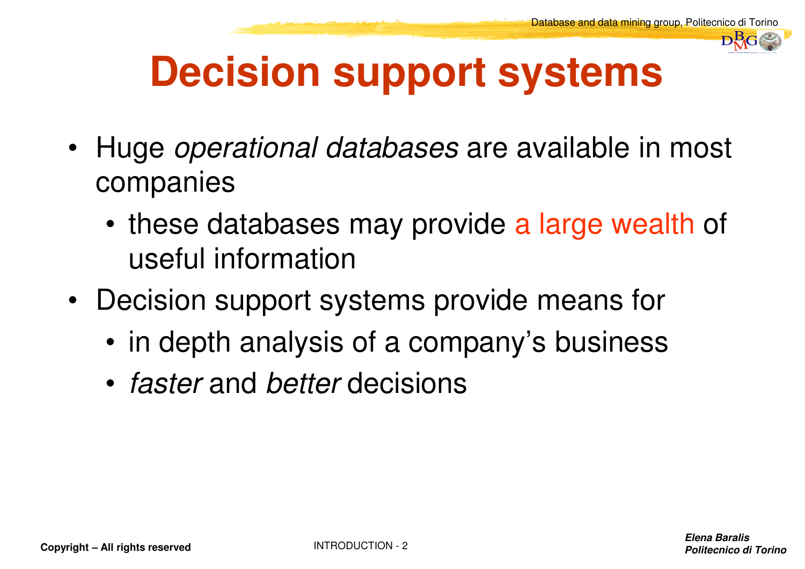

# **Decision support systems**

- Huge *operational databases* are available in most companies
	- these databases may provide a large wealth of useful information
- Decision support systems provide means for
	- in depth analysis of a company's business
	- *faster* and *better* decisions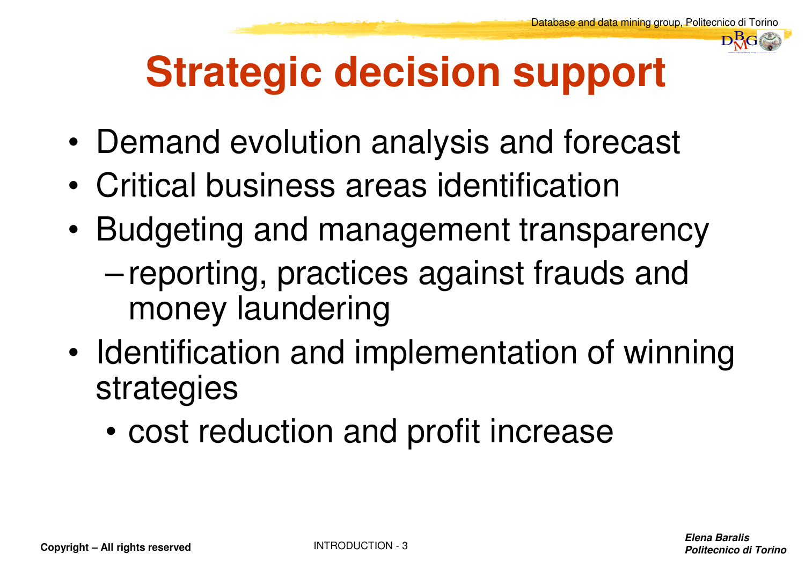

# **Strategic decision support**

- •Demand evolution analysis and forecast
- •Critical business areas identification
- • Budgeting and management transparency– reporting, practices against frauds and money laundering
- • Identification and implementation of winning strategies
	- •cost reduction and profit increase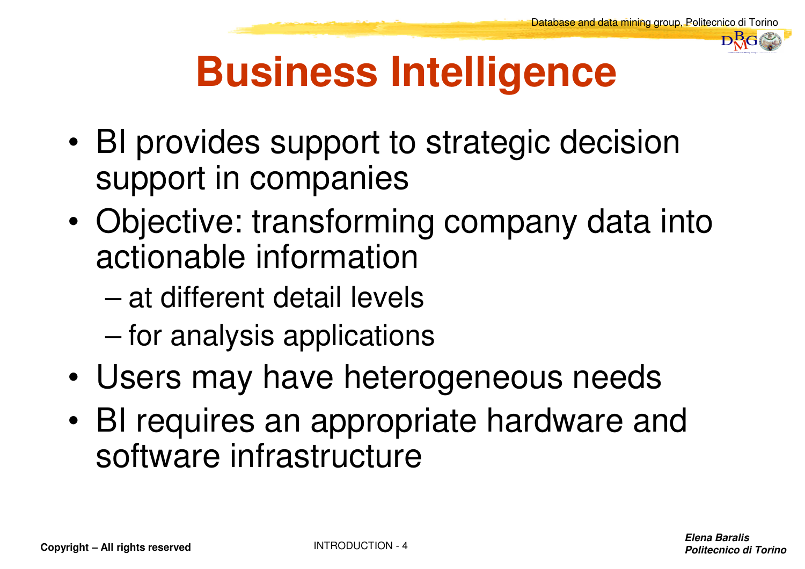

# **Business Intelligence**

- • BI provides support to strategic decision support in companies
- • Objective: transforming company data into actionable information
	- –at different detail levels
	- for analysis applications
- •Users may have heterogeneous needs
- • BI requires an appropriate hardware and software infrastructure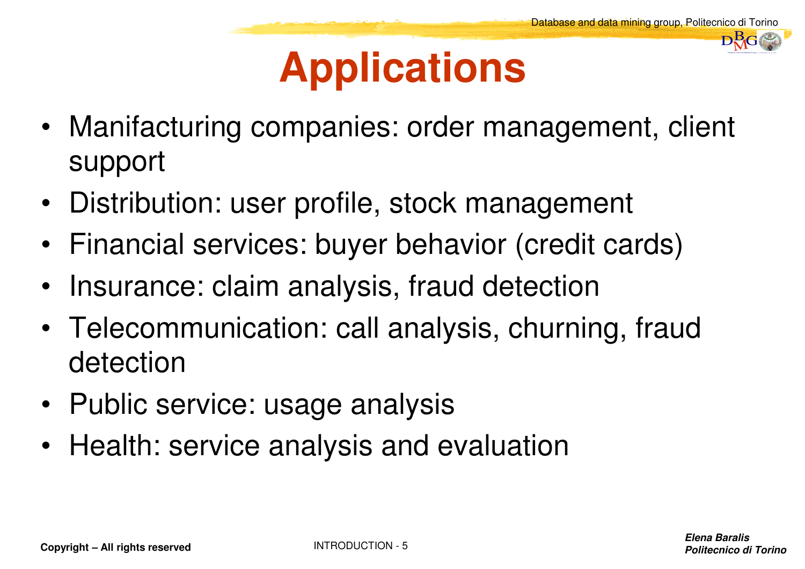DataBase and Data Mining Group of Politecnico di Torino $\mathbf{D}^{\mathbf{B}}_{\mathbf{M}}$ G

### **Applications**

- Manifacturing companies: order management, client support
- $\bullet$ Distribution: user profile, stock management
- Financial services: buyer behavior (credit cards)
- •Insurance: claim analysis, fraud detection
- Telecommunication: call analysis, churning, fraud detection
- Public service: usage analysis
- Health: service analysis and evaluation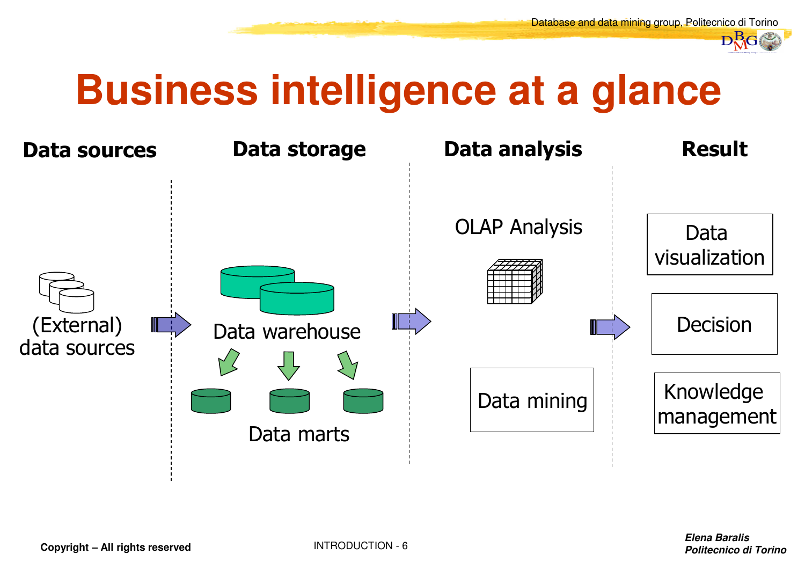

#### **Business intelligence at a glance**

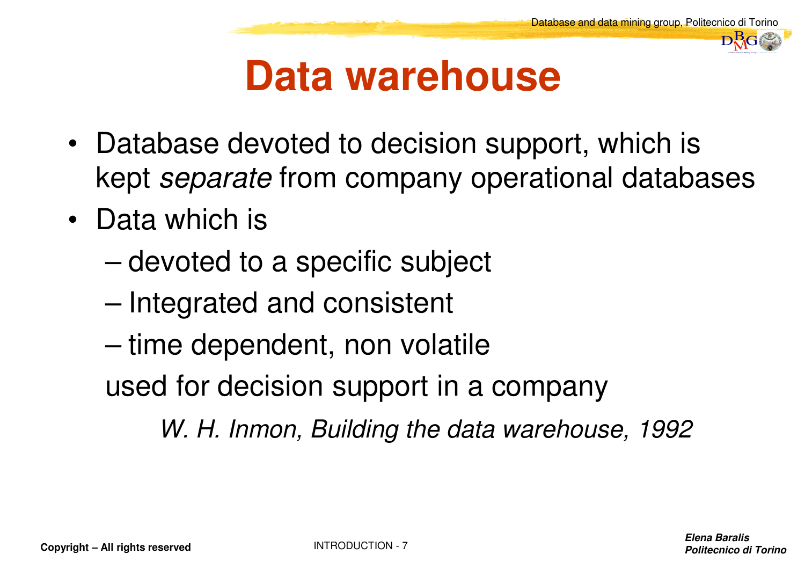

#### **Data warehouse**

- Database devoted to decision support, which is kept *separate* from company operational databases
- Data which is
	- –devoted to a specific subject
	- –Integrated and consistent
	- –time dependent, non volatile
	- used for decision support in a company

*W. H. Inmon, Building the data warehouse, 1992*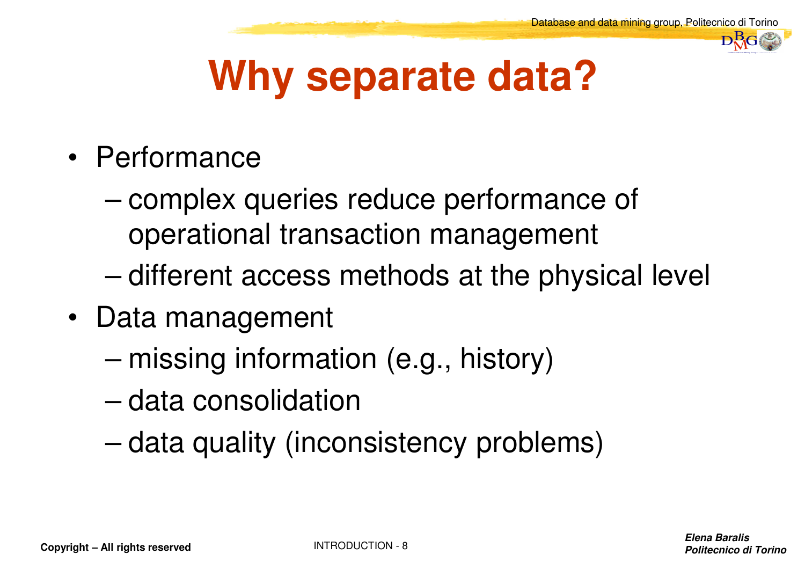

# **Why separate data?**

- Performance
	- – complex queries reduce performance of operational transaction management
	- –different access methods at the physical level
- Data management
	- –missing information (e.g., history)
	- –data consolidation
	- –data quality (inconsistency problems)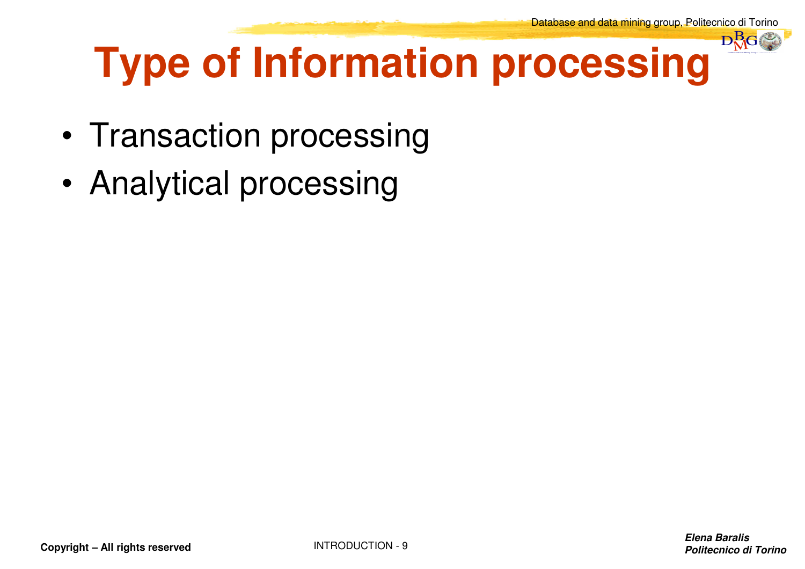

# **Type of Information processing**

- •Transaction processing
- •Analytical processing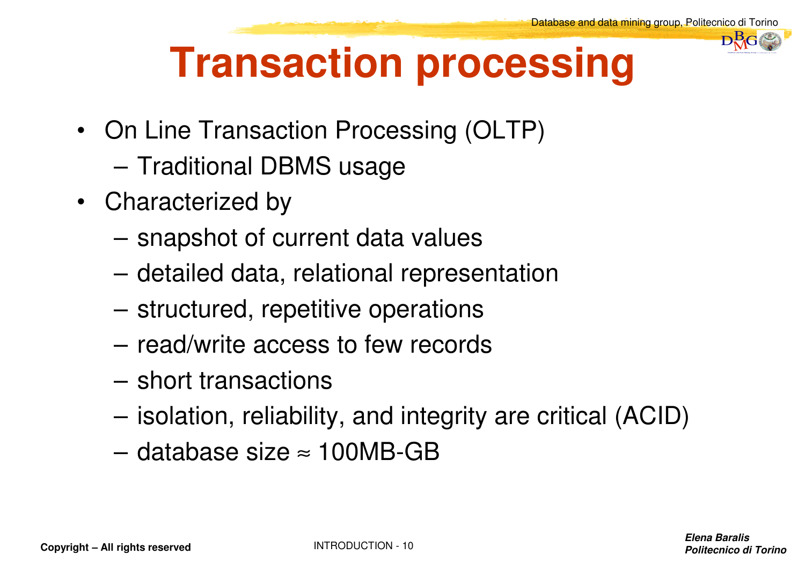

# **Transaction processing**

- On Line Transaction Processing (OLTP)
	- Traditional DBMS usage
- Characterized by
	- snapshot of current data values
	- detailed data, relational representation
	- structured, repetitive operations
	- read/write access to few records
	- short transactions
	- isolation, reliability, and integrity are critical (ACID)
	- database size  $\approx$  100MB-GB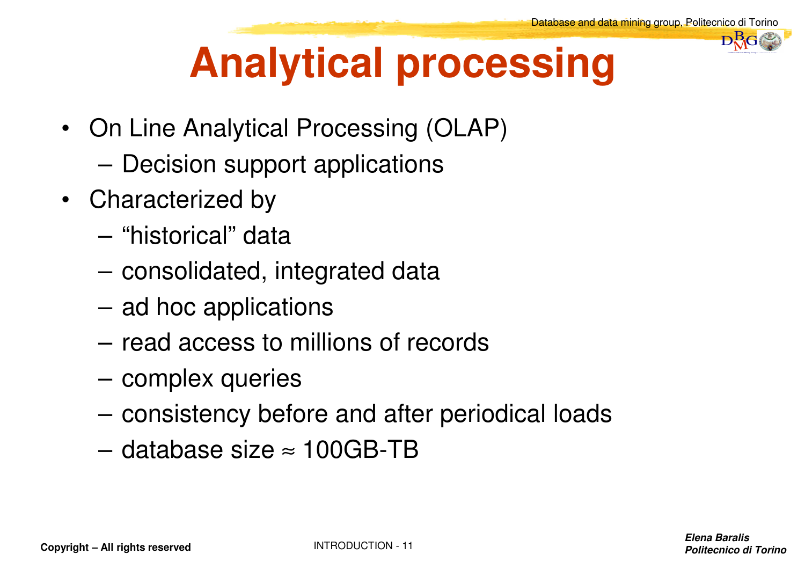

# **Analytical processing**

- On Line Analytical Processing (OLAP)
	- –Decision support applications
- Characterized by
	- –"historical" data
	- –consolidated, integrated data
	- –ad hoc applications
	- –read access to millions of records
	- –complex queries
	- –consistency before and after periodical loads
	- –database size  $\approx 100$ GB-TB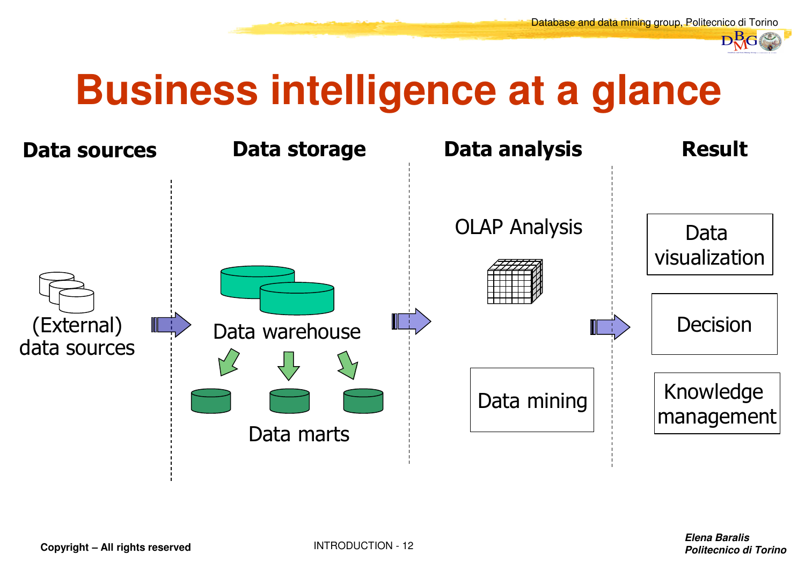

#### **Business intelligence at a glance**

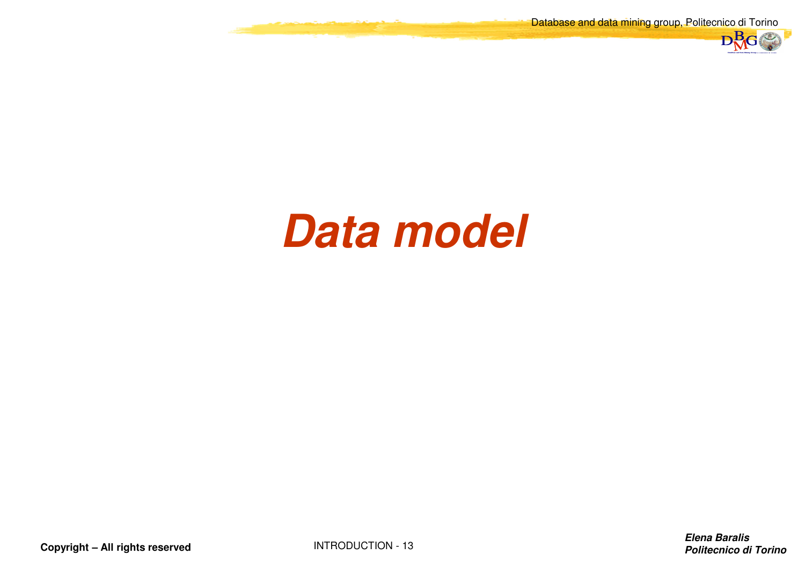Database and data mining group, Politecnico di Torino



#### **Data model**

**Copyright – All rights reserved**

INTRODUCTION - <sup>13</sup>

**Elena BaralisPolitecnico di Torino**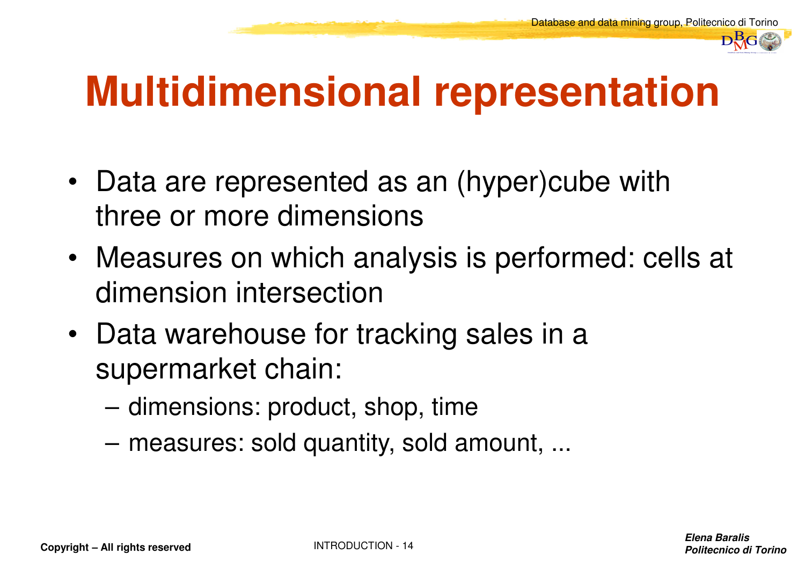

#### **Multidimensional representation**

- Data are represented as an (hyper)cube with three or more dimensions
- Measures on which analysis is performed: cells at dimension intersection
- Data warehouse for tracking sales in a supermarket chain:
	- dimensions: product, shop, time
	- measures: sold quantity, sold amount, ...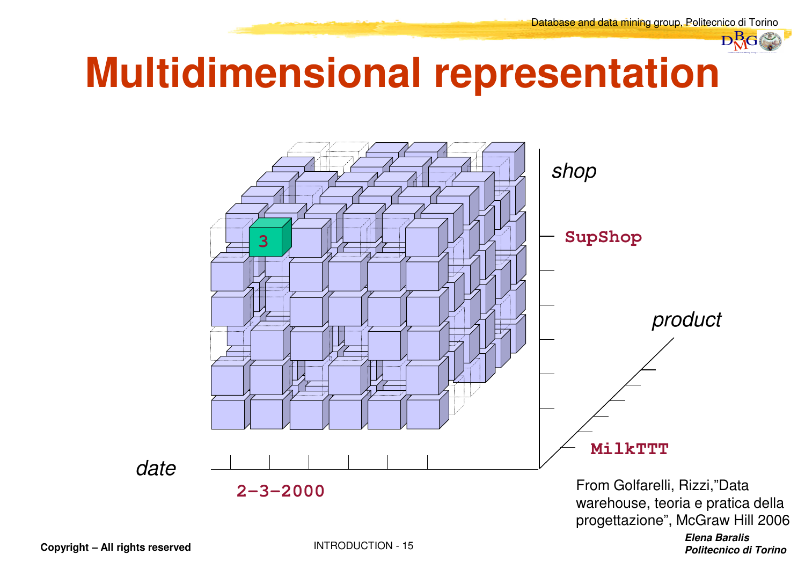

#### **Multidimensional representation**



**Copyright – All rights reserved**

**Elena BaralisPolitecnico di Torino**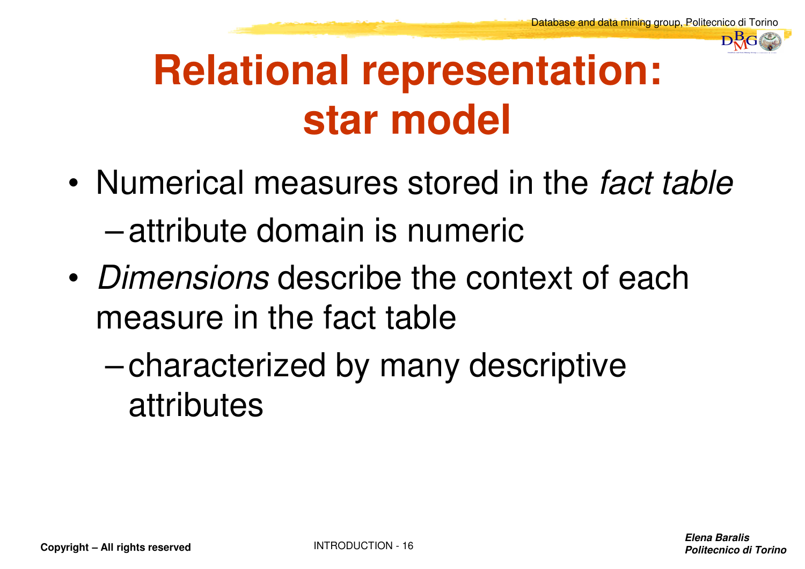

### **Relational representation: star model**

- • Numerical measures stored in the *fact table*  –attribute domain is numeric
- • *Dimensions* describe the context of each measure in the fact table
	- – characterized by many descriptive attributes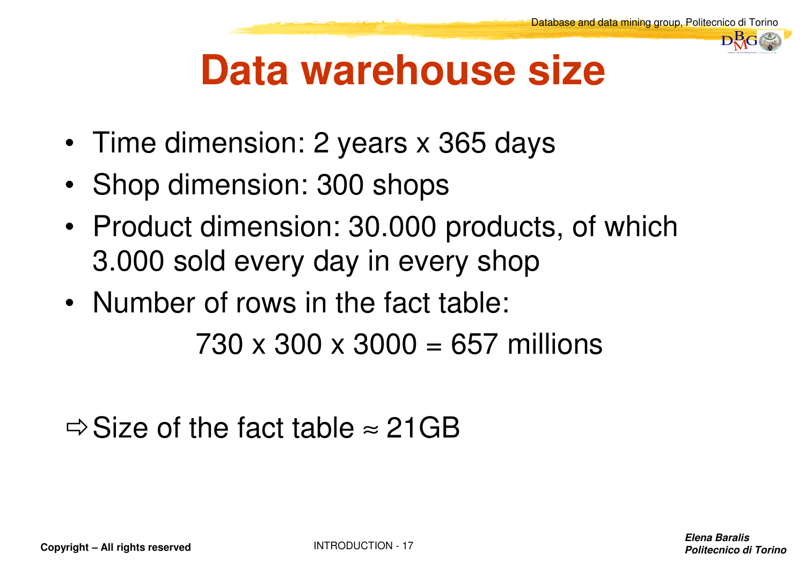

#### **Data warehouse size**

- Time dimension: 2 years x 365 days
- •Shop dimension: 300 shops
- Product dimension: 30.000 products, of which 3.000 sold every day in every shop
- Number of rows in the fact table:

730 x 300 x 3000 = 657 millions

 $\Rightarrow$  Size of the fact table  $\approx$  21GB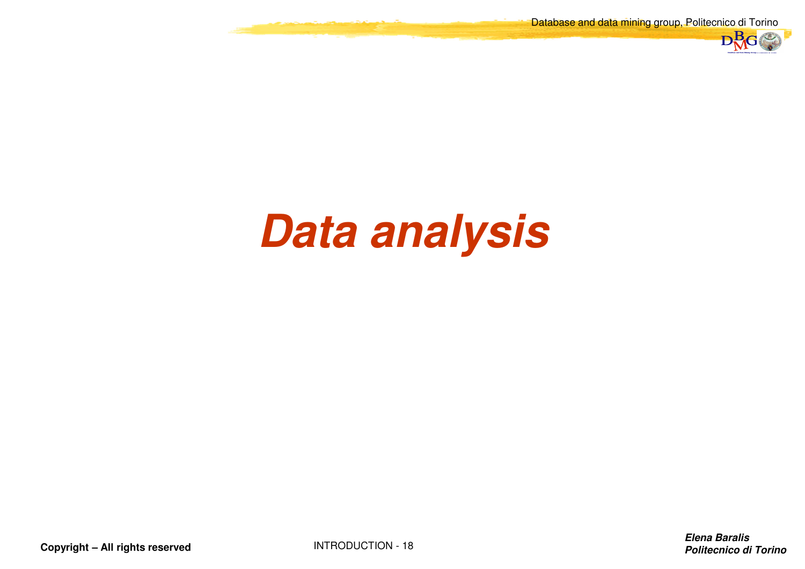Database and data mining group, Politecnico di Torino



## **Data analysis**

**Copyright – All rights reserved**

INTRODUCTION - <sup>18</sup>

**Elena BaralisPolitecnico di Torino**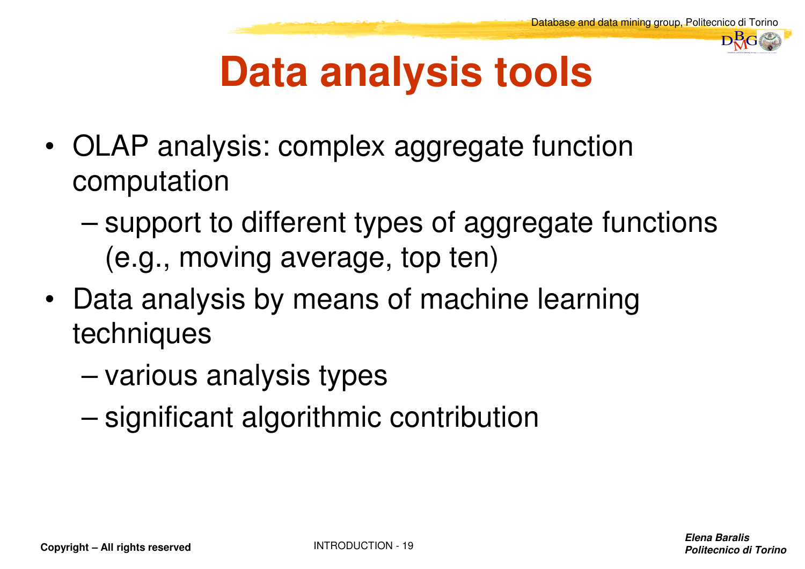

# **Data analysis tools**

- • OLAP analysis: complex aggregate function computation
	- – support to different types of aggregate functions (e.g., moving average, top ten)
- Data analysis by means of machine learning techniques
	- –various analysis types
	- and the state of the state significant algorithmic contribution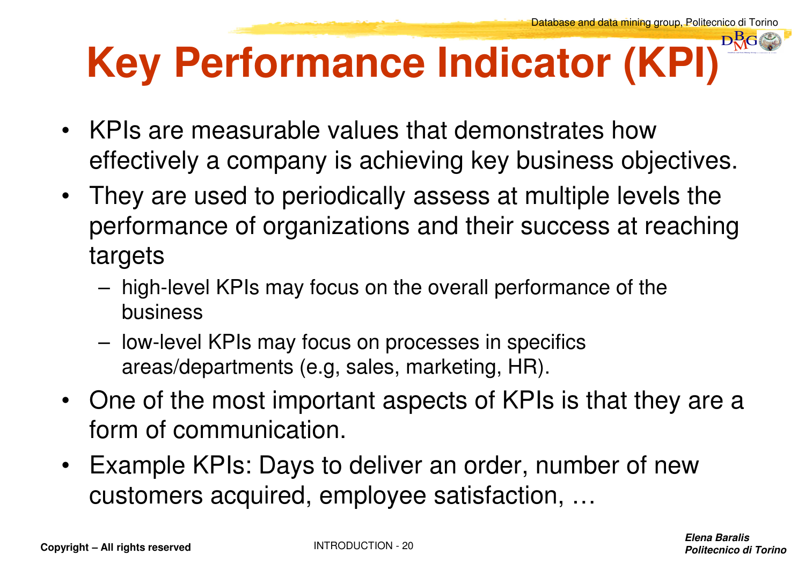#### DataBase and Data Mining Group of Politecnico di Torino $\mathbf{D}^{\mathbf{B}}_{\mathbf{M}}$ G **Key Performance Indicator (KPI)**

- KPIs are measurable values that demonstrates how effectively a company is achieving key business objectives.
- $\bullet$  They are used to periodically assess at multiple levels the performance of organizations and their success at reaching targets
	- high-level KPIs may focus on the overall performance of the business
	- low-level KPIs may focus on processes in specifics areas/departments (e.g, sales, marketing, HR).
- One of the most important aspects of KPIs is that they are a form of communication.
- $\bullet$  Example KPIs: Days to deliver an order, number of new customers acquired, employee satisfaction, …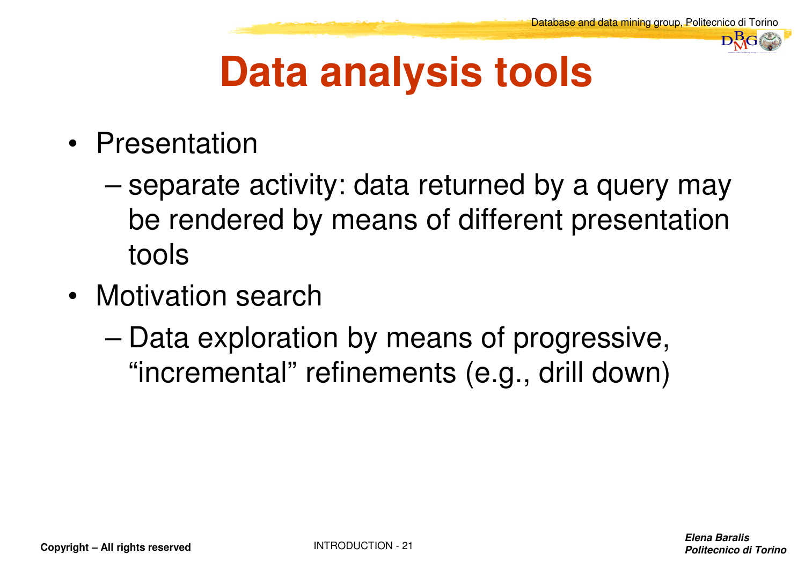

# **Data analysis tools**

- Presentation
	- – separate activity: data returned by a query may be rendered by means of different presentation tools
- Motivation search
	- – Data exploration by means of progressive, "incremental" refinements (e.g., drill down)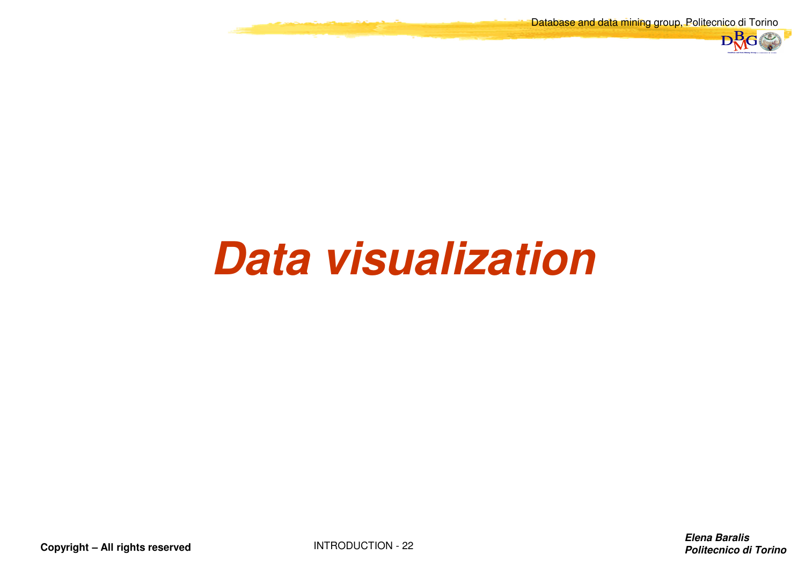Database and data mining group, Politecnico di Torino



# **Data visualization**

**Copyright – All rights reserved**

INTRODUCTION - <sup>22</sup>

**Elena BaralisPolitecnico di Torino**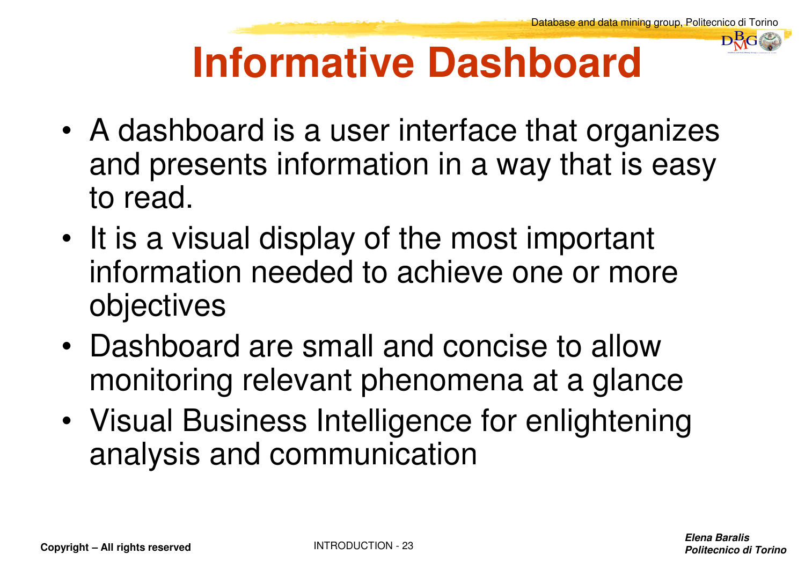

# **Informative Dashboard**

- • A dashboard is a user interface that organizes and presents information in a way that is easy to read.
- • It is a visual display of the most important information needed to achieve one or more objectives
- • Dashboard are small and concise to allow monitoring relevant phenomena at a glance
- • Visual Business Intelligence for enlightening analysis and communication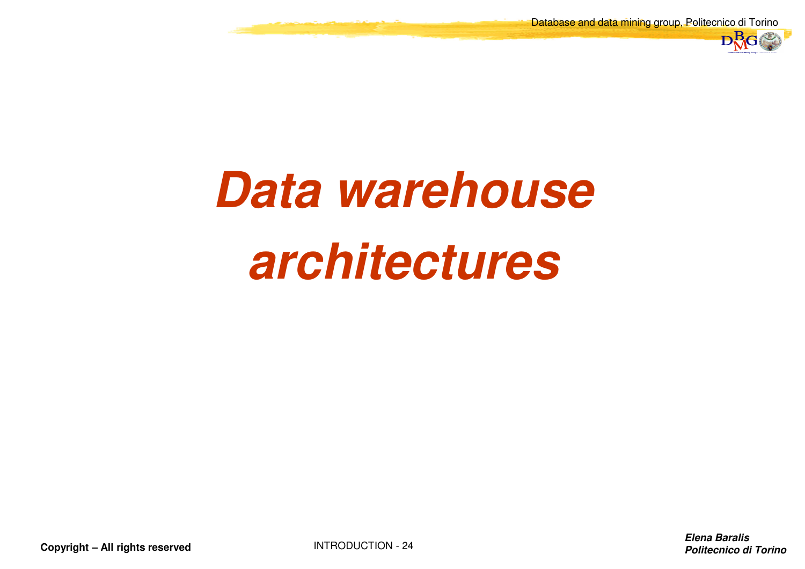

# **Data warehousearchitectures**

**Copyright – All rights reserved**

INTRODUCTION - <sup>24</sup>

**Elena BaralisPolitecnico di Torino**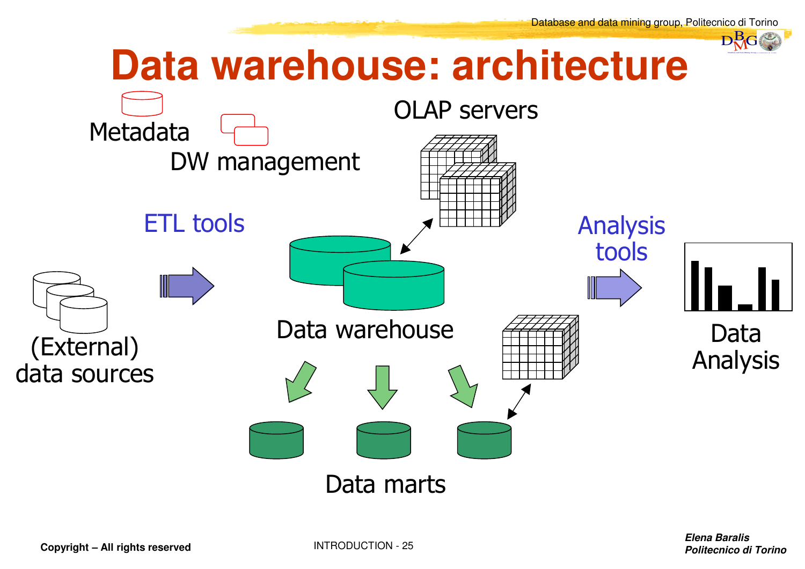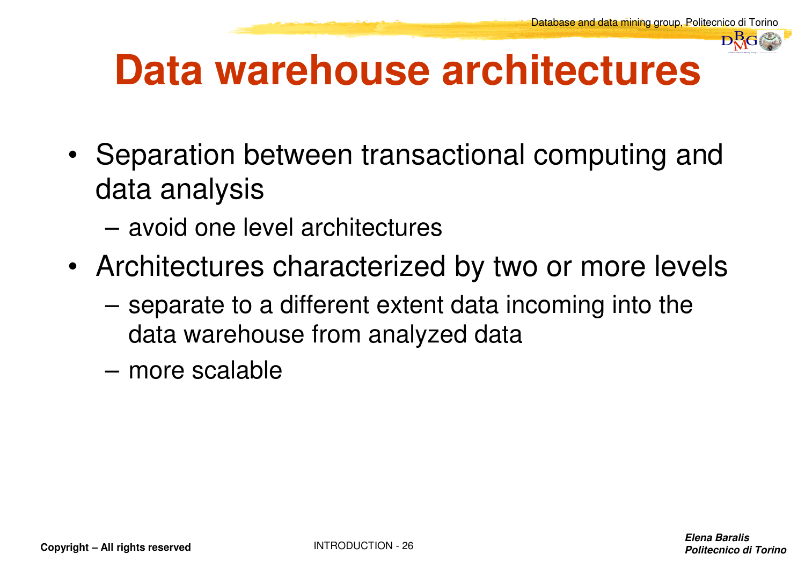

#### **Data warehouse architectures**

- • Separation between transactional computing and data analysis
	- avoid one level architectures
- Architectures characterized by two or more levels
	- separate to a different extent data incoming into thedata warehouse from analyzed data
	- more scalable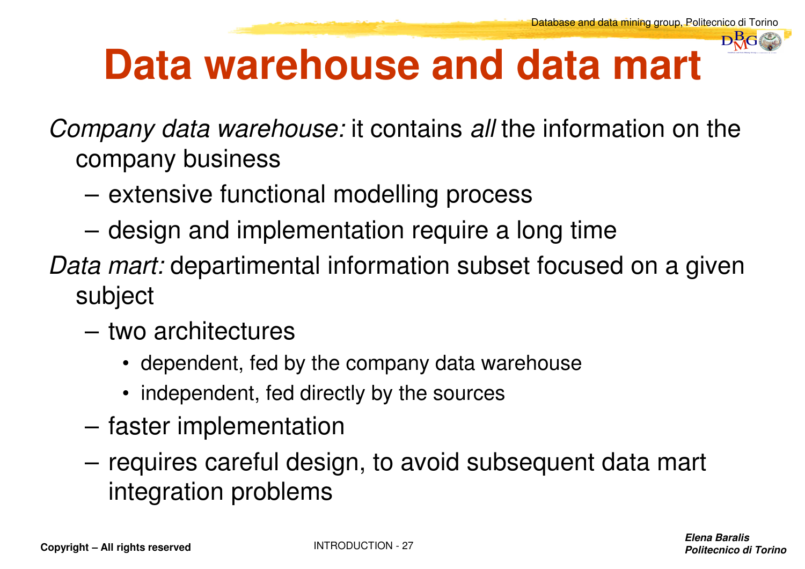

#### **Data warehouse and data mart**

*Company data warehouse:* it contains *all* the information on the company business

- extensive functional modelling process
- design and implementation require a long time
- *Data mart:* departimental information subset focused on a given subject
	- – two architectures
		- dependent, fed by the company data warehouse
		- independent, fed directly by the sources
	- faster implementation
	- requires careful design, to avoid subsequent data mart integration problems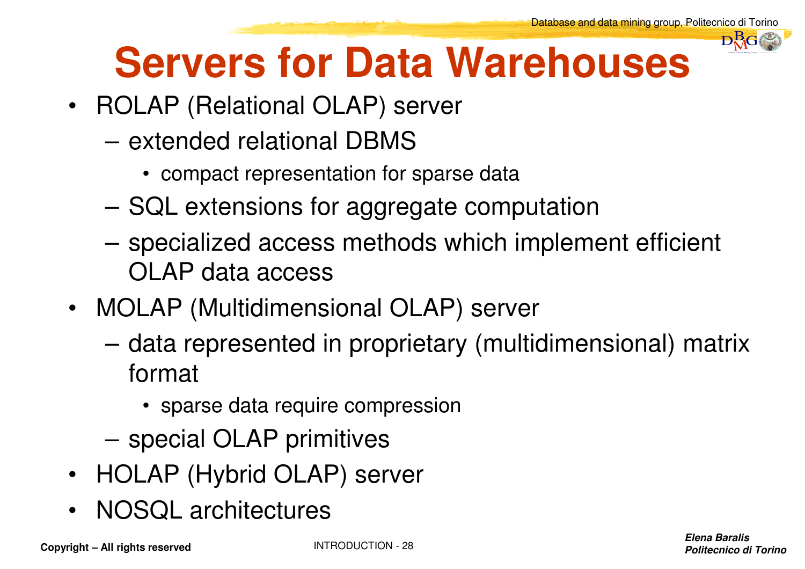

# **Servers for Data Warehouses**

- ROLAP (Relational OLAP) server
	- extended relational DBMS
		- compact representation for sparse data
	- SQL extensions for aggregate computation
	- specialized access methods which implement efficient OLAP data access
- MOLAP (Multidimensional OLAP) server
	- data represented in proprietary (multidimensional) matrix format
		- sparse data require compression
	- special OLAP primitives
- HOLAP (Hybrid OLAP) server
- •NOSQL architectures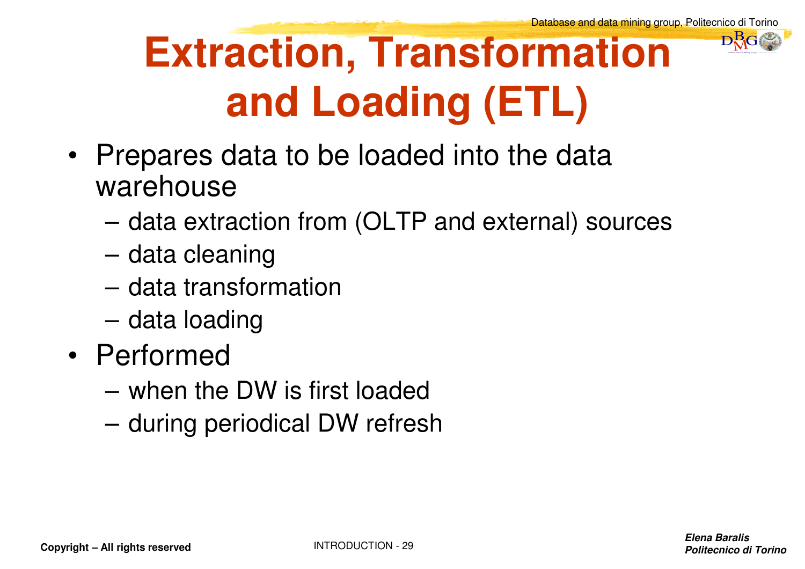# **Extraction, Transformation and Loading (ETL)**

DataBase and Data Mining Group of Politecnico di Torino $\mathbf{D}^{\mathbf{B}}_{\mathbf{M}}$ G

- Prepares data to be loaded into the data warehouse
	- data extraction from (OLTP and external) sources
	- data cleaning
	- data transformation
	- data loading
- Performed
	- when the DW is first loaded
	- during periodical DW refresh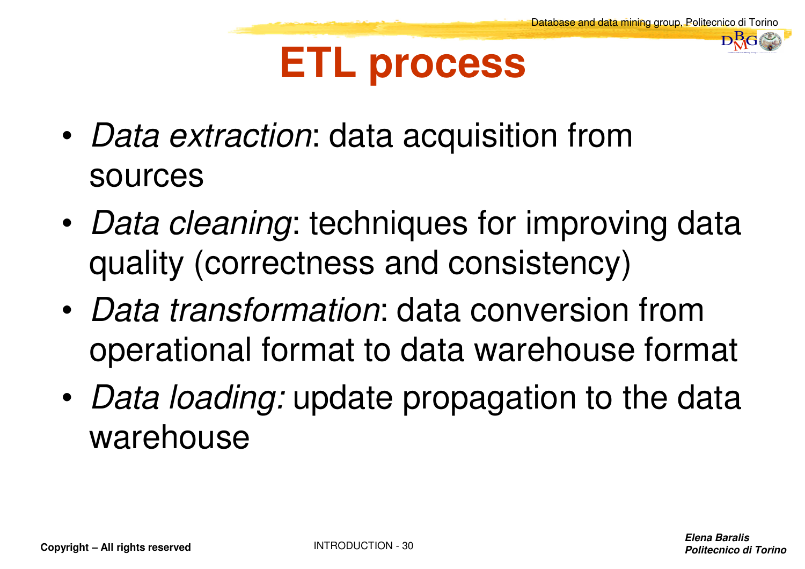DataBase and Data Mining Group of Politecnico di Torino $\mathbf{D}^{\mathbf{B}}_{\mathbf{M}}$ G

#### **ETL process**

- • *Data extraction*: data acquisition from sources
- • *Data cleaning*: techniques for improving data quality (correctness and consistency)
- • *Data transformation*: data conversion from operational format to data warehouse format
- • *Data loading:* update propagation to the data warehouse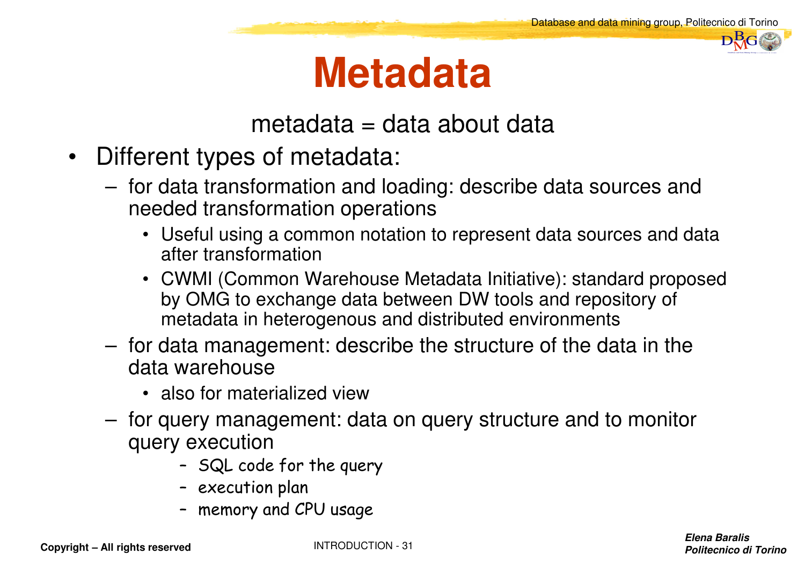DataBase and Data Mining Group of Politecnico di Torino $\mathbf{D}^{\mathbf{B}}_{\mathbf{M}}$ G

#### **Metadata**

#### metadata = data about data

- $\bullet$  Different types of metadata:
	- for data transformation and loading: describe data sources and needed transformation operations
		- Useful using a common notation to represent data sources and data after transformation
		- CWMI (Common Warehouse Metadata Initiative): standard proposed by OMG to exchange data between DW tools and repository of metadata in heterogenous and distributed environments
	- for data management: describe the structure of the data in the data warehouse
		- also for materialized view
	- tor guery management<sup>.</sup> d for query management: data on query structure and to monitor query execution
		- SQL code for the query
		- execution plan
		- memory and CPU usage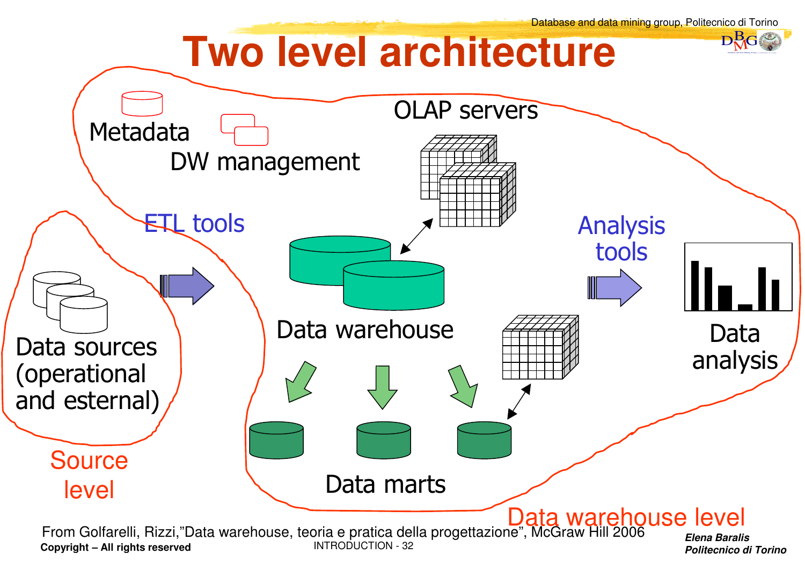

**Politecnico di Torino**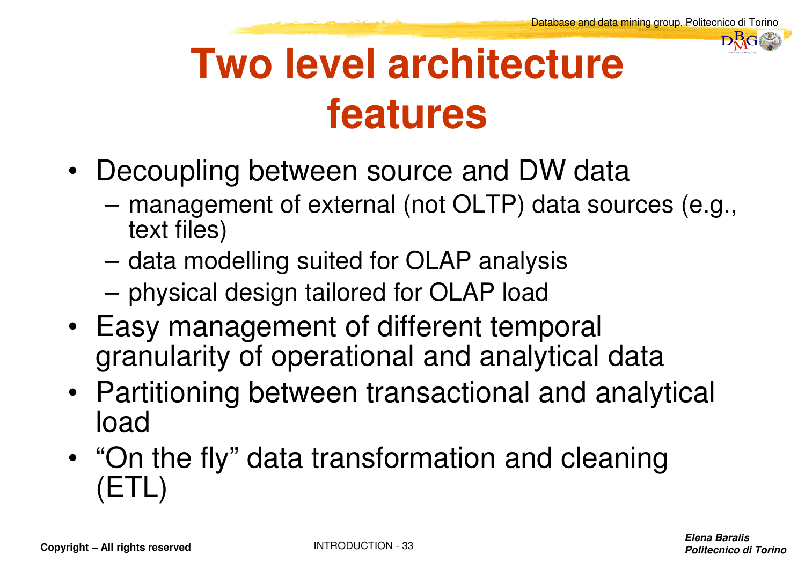

# **Two level architecturefeatures**

- Decoupling between source and DW data
	- management of external (not OLTP) data sources (e.g., text files)
	- data modelling suited for OLAP analysis
	- physical design tailored for OLAP load
- Easy management of different temporal granularity of operational and analytical data
- Partitioning between transactional and analytical load
- "∩r "On the fly" data transformation and cleaning (ETL)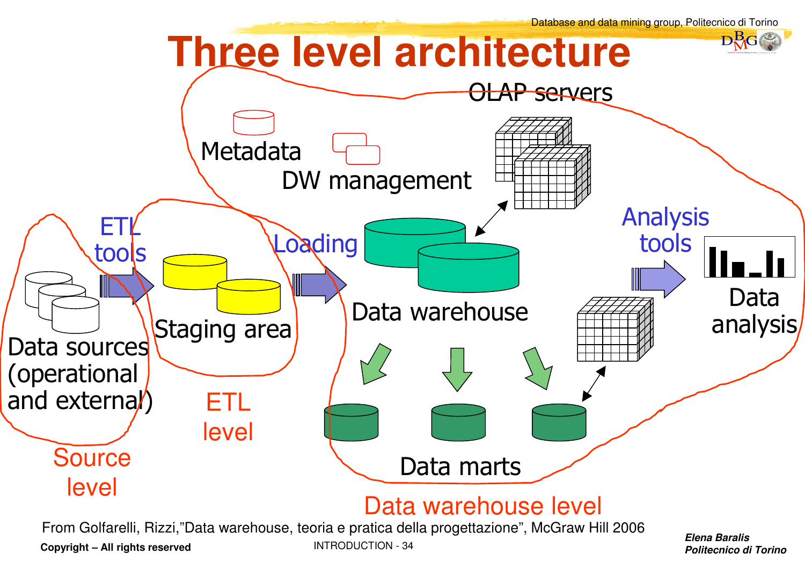

**Copyright – All rights reserved**

INTRODUCTION - <sup>34</sup>

**Politecnico di Torino**